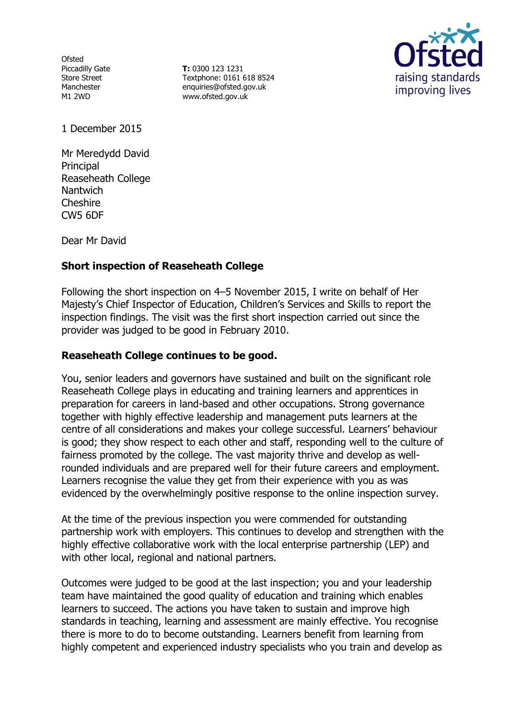**Ofsted** Piccadilly Gate Store Street Manchester M1 2WD

**T:** 0300 123 1231 Textphone: 0161 618 8524 enquiries@ofsted.gov.uk www.ofsted.gov.uk



1 December 2015

Mr Meredydd David Principal Reaseheath College **Nantwich** Cheshire CW5 6DF

Dear Mr David

### **Short inspection of Reaseheath College**

Following the short inspection on 4–5 November 2015, I write on behalf of Her Majesty's Chief Inspector of Education, Children's Services and Skills to report the inspection findings. The visit was the first short inspection carried out since the provider was judged to be good in February 2010.

#### **Reaseheath College continues to be good.**

You, senior leaders and governors have sustained and built on the significant role Reaseheath College plays in educating and training learners and apprentices in preparation for careers in land-based and other occupations. Strong governance together with highly effective leadership and management puts learners at the centre of all considerations and makes your college successful. Learners' behaviour is good; they show respect to each other and staff, responding well to the culture of fairness promoted by the college. The vast majority thrive and develop as wellrounded individuals and are prepared well for their future careers and employment. Learners recognise the value they get from their experience with you as was evidenced by the overwhelmingly positive response to the online inspection survey.

At the time of the previous inspection you were commended for outstanding partnership work with employers. This continues to develop and strengthen with the highly effective collaborative work with the local enterprise partnership (LEP) and with other local, regional and national partners.

Outcomes were judged to be good at the last inspection; you and your leadership team have maintained the good quality of education and training which enables learners to succeed. The actions you have taken to sustain and improve high standards in teaching, learning and assessment are mainly effective. You recognise there is more to do to become outstanding. Learners benefit from learning from highly competent and experienced industry specialists who you train and develop as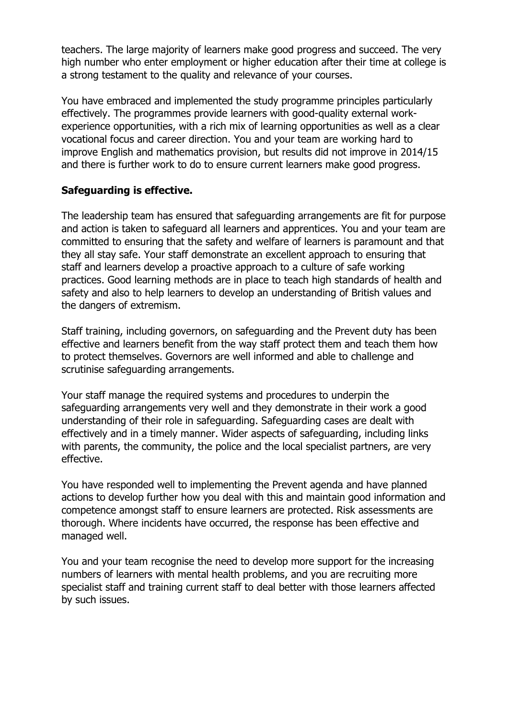teachers. The large majority of learners make good progress and succeed. The very high number who enter employment or higher education after their time at college is a strong testament to the quality and relevance of your courses.

You have embraced and implemented the study programme principles particularly effectively. The programmes provide learners with good-quality external workexperience opportunities, with a rich mix of learning opportunities as well as a clear vocational focus and career direction. You and your team are working hard to improve English and mathematics provision, but results did not improve in 2014/15 and there is further work to do to ensure current learners make good progress.

### **Safeguarding is effective.**

The leadership team has ensured that safeguarding arrangements are fit for purpose and action is taken to safeguard all learners and apprentices. You and your team are committed to ensuring that the safety and welfare of learners is paramount and that they all stay safe. Your staff demonstrate an excellent approach to ensuring that staff and learners develop a proactive approach to a culture of safe working practices. Good learning methods are in place to teach high standards of health and safety and also to help learners to develop an understanding of British values and the dangers of extremism.

Staff training, including governors, on safeguarding and the Prevent duty has been effective and learners benefit from the way staff protect them and teach them how to protect themselves. Governors are well informed and able to challenge and scrutinise safeguarding arrangements.

Your staff manage the required systems and procedures to underpin the safeguarding arrangements very well and they demonstrate in their work a good understanding of their role in safeguarding. Safeguarding cases are dealt with effectively and in a timely manner. Wider aspects of safeguarding, including links with parents, the community, the police and the local specialist partners, are very effective.

You have responded well to implementing the Prevent agenda and have planned actions to develop further how you deal with this and maintain good information and competence amongst staff to ensure learners are protected. Risk assessments are thorough. Where incidents have occurred, the response has been effective and managed well.

You and your team recognise the need to develop more support for the increasing numbers of learners with mental health problems, and you are recruiting more specialist staff and training current staff to deal better with those learners affected by such issues.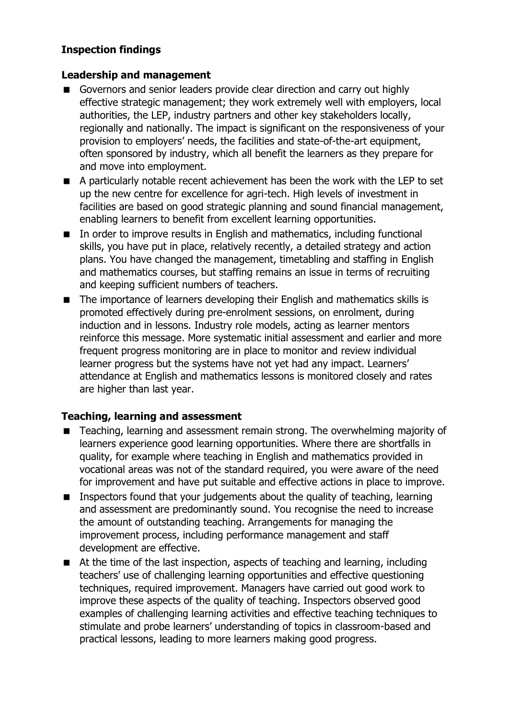# **Inspection findings**

#### **Leadership and management**

- Governors and senior leaders provide clear direction and carry out highly effective strategic management; they work extremely well with employers, local authorities, the LEP, industry partners and other key stakeholders locally, regionally and nationally. The impact is significant on the responsiveness of your provision to employers' needs, the facilities and state-of-the-art equipment, often sponsored by industry, which all benefit the learners as they prepare for and move into employment.
- A particularly notable recent achievement has been the work with the LEP to set up the new centre for excellence for agri-tech. High levels of investment in facilities are based on good strategic planning and sound financial management, enabling learners to benefit from excellent learning opportunities.
- In order to improve results in English and mathematics, including functional skills, you have put in place, relatively recently, a detailed strategy and action plans. You have changed the management, timetabling and staffing in English and mathematics courses, but staffing remains an issue in terms of recruiting and keeping sufficient numbers of teachers.
- The importance of learners developing their English and mathematics skills is promoted effectively during pre-enrolment sessions, on enrolment, during induction and in lessons. Industry role models, acting as learner mentors reinforce this message. More systematic initial assessment and earlier and more frequent progress monitoring are in place to monitor and review individual learner progress but the systems have not yet had any impact. Learners' attendance at English and mathematics lessons is monitored closely and rates are higher than last year.

### **Teaching, learning and assessment**

- Teaching, learning and assessment remain strong. The overwhelming majority of learners experience good learning opportunities. Where there are shortfalls in quality, for example where teaching in English and mathematics provided in vocational areas was not of the standard required, you were aware of the need for improvement and have put suitable and effective actions in place to improve.
- Inspectors found that your judgements about the quality of teaching, learning and assessment are predominantly sound. You recognise the need to increase the amount of outstanding teaching. Arrangements for managing the improvement process, including performance management and staff development are effective.
- At the time of the last inspection, aspects of teaching and learning, including teachers' use of challenging learning opportunities and effective questioning techniques, required improvement. Managers have carried out good work to improve these aspects of the quality of teaching. Inspectors observed good examples of challenging learning activities and effective teaching techniques to stimulate and probe learners' understanding of topics in classroom-based and practical lessons, leading to more learners making good progress.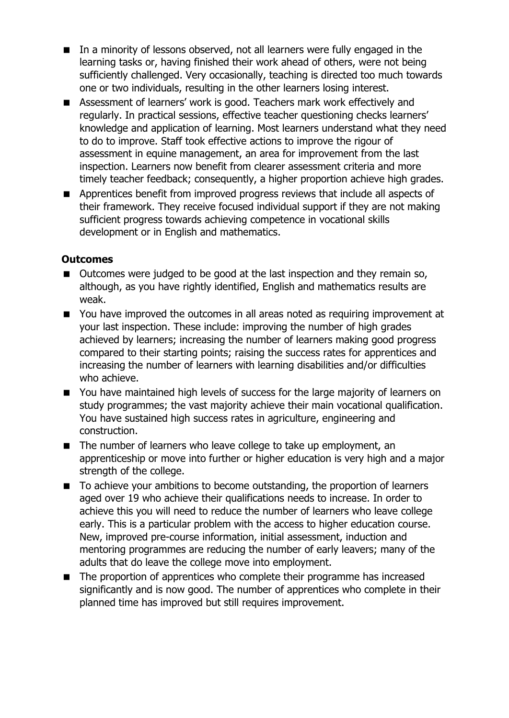- In a minority of lessons observed, not all learners were fully engaged in the learning tasks or, having finished their work ahead of others, were not being sufficiently challenged. Very occasionally, teaching is directed too much towards one or two individuals, resulting in the other learners losing interest.
- Assessment of learners' work is good. Teachers mark work effectively and regularly. In practical sessions, effective teacher questioning checks learners' knowledge and application of learning. Most learners understand what they need to do to improve. Staff took effective actions to improve the rigour of assessment in equine management, an area for improvement from the last inspection. Learners now benefit from clearer assessment criteria and more timely teacher feedback; consequently, a higher proportion achieve high grades.
- **E** Apprentices benefit from improved progress reviews that include all aspects of their framework. They receive focused individual support if they are not making sufficient progress towards achieving competence in vocational skills development or in English and mathematics.

### **Outcomes**

- Outcomes were judged to be good at the last inspection and they remain so, although, as you have rightly identified, English and mathematics results are weak.
- You have improved the outcomes in all areas noted as requiring improvement at your last inspection. These include: improving the number of high grades achieved by learners; increasing the number of learners making good progress compared to their starting points; raising the success rates for apprentices and increasing the number of learners with learning disabilities and/or difficulties who achieve.
- You have maintained high levels of success for the large majority of learners on study programmes; the vast majority achieve their main vocational qualification. You have sustained high success rates in agriculture, engineering and construction.
- The number of learners who leave college to take up employment, an apprenticeship or move into further or higher education is very high and a major strength of the college.
- To achieve your ambitions to become outstanding, the proportion of learners aged over 19 who achieve their qualifications needs to increase. In order to achieve this you will need to reduce the number of learners who leave college early. This is a particular problem with the access to higher education course. New, improved pre-course information, initial assessment, induction and mentoring programmes are reducing the number of early leavers; many of the adults that do leave the college move into employment.
- The proportion of apprentices who complete their programme has increased significantly and is now good. The number of apprentices who complete in their planned time has improved but still requires improvement.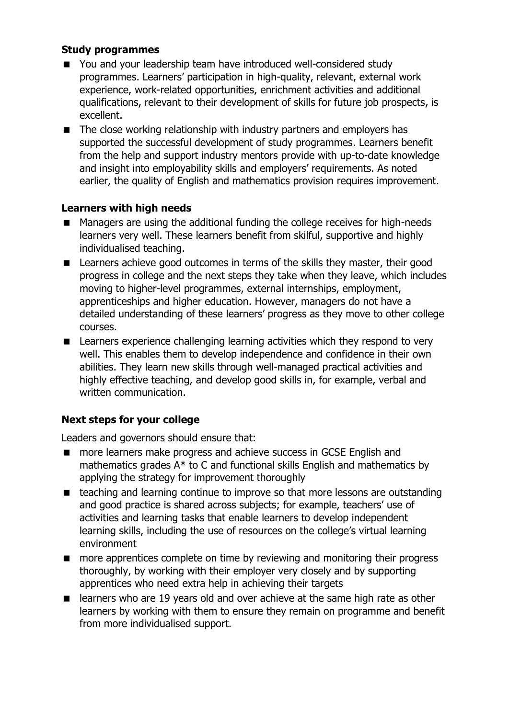### **Study programmes**

- You and your leadership team have introduced well-considered study programmes. Learners' participation in high-quality, relevant, external work experience, work-related opportunities, enrichment activities and additional qualifications, relevant to their development of skills for future job prospects, is excellent.
- The close working relationship with industry partners and employers has supported the successful development of study programmes. Learners benefit from the help and support industry mentors provide with up-to-date knowledge and insight into employability skills and employers' requirements. As noted earlier, the quality of English and mathematics provision requires improvement.

# **Learners with high needs**

- Managers are using the additional funding the college receives for high-needs learners very well. These learners benefit from skilful, supportive and highly individualised teaching.
- Learners achieve good outcomes in terms of the skills they master, their good progress in college and the next steps they take when they leave, which includes moving to higher-level programmes, external internships, employment, apprenticeships and higher education. However, managers do not have a detailed understanding of these learners' progress as they move to other college courses.
- Learners experience challenging learning activities which they respond to very well. This enables them to develop independence and confidence in their own abilities. They learn new skills through well-managed practical activities and highly effective teaching, and develop good skills in, for example, verbal and written communication.

# **Next steps for your college**

Leaders and governors should ensure that:

- more learners make progress and achieve success in GCSE English and mathematics grades A\* to C and functional skills English and mathematics by applying the strategy for improvement thoroughly
- teaching and learning continue to improve so that more lessons are outstanding and good practice is shared across subjects; for example, teachers' use of activities and learning tasks that enable learners to develop independent learning skills, including the use of resources on the college's virtual learning environment
- **nd** more apprentices complete on time by reviewing and monitoring their progress thoroughly, by working with their employer very closely and by supporting apprentices who need extra help in achieving their targets
- learners who are 19 years old and over achieve at the same high rate as other learners by working with them to ensure they remain on programme and benefit from more individualised support.